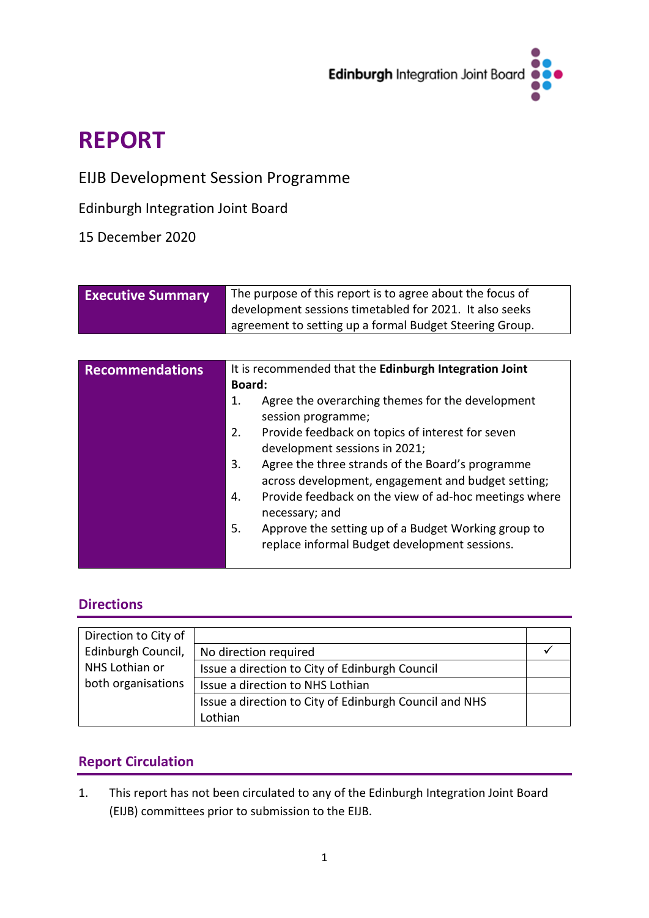

# **REPORT**

## EIJB Development Session Programme

Edinburgh Integration Joint Board

## 15 December 2020

| <b>Executive Summary</b> | The purpose of this report is to agree about the focus of |
|--------------------------|-----------------------------------------------------------|
|                          | development sessions timetabled for 2021. It also seeks   |
|                          | agreement to setting up a formal Budget Steering Group.   |

| <b>Recommendations</b> | It is recommended that the Edinburgh Integration Joint<br>Board:                                             |  |  |  |  |  |  |
|------------------------|--------------------------------------------------------------------------------------------------------------|--|--|--|--|--|--|
|                        | Agree the overarching themes for the development<br>1.<br>session programme;                                 |  |  |  |  |  |  |
|                        | Provide feedback on topics of interest for seven<br>2.<br>development sessions in 2021;                      |  |  |  |  |  |  |
|                        | Agree the three strands of the Board's programme<br>3.<br>across development, engagement and budget setting; |  |  |  |  |  |  |
|                        | Provide feedback on the view of ad-hoc meetings where<br>4.<br>necessary; and                                |  |  |  |  |  |  |
|                        | Approve the setting up of a Budget Working group to<br>5.<br>replace informal Budget development sessions.   |  |  |  |  |  |  |
|                        |                                                                                                              |  |  |  |  |  |  |

## **Directions**

| Direction to City of |                                                        |  |
|----------------------|--------------------------------------------------------|--|
| Edinburgh Council,   | No direction required                                  |  |
| NHS Lothian or       | Issue a direction to City of Edinburgh Council         |  |
| both organisations   | Issue a direction to NHS Lothian                       |  |
|                      | Issue a direction to City of Edinburgh Council and NHS |  |
|                      | Lothian                                                |  |

## **Report Circulation**

1. This report has not been circulated to any of the Edinburgh Integration Joint Board (EIJB) committees prior to submission to the EIJB.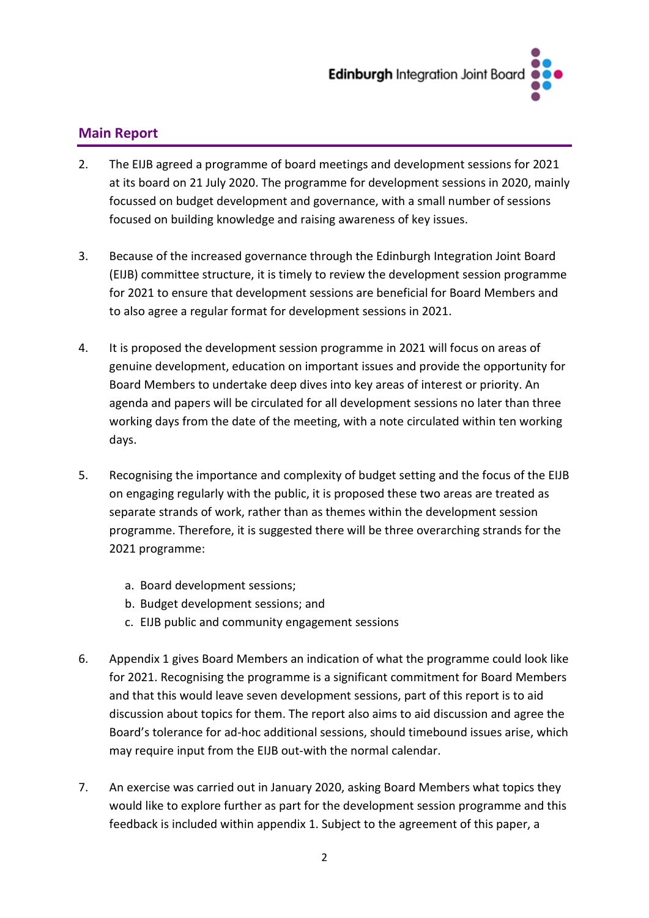

## **Main Report**

- 2. The EIJB agreed a programme of board meetings and development sessions for 2021 at its board on 21 July 2020. The programme for development sessions in 2020, mainly focussed on budget development and governance, with a small number of sessions focused on building knowledge and raising awareness of key issues.
- 3. Because of the increased governance through the Edinburgh Integration Joint Board (EIJB) committee structure, it is timely to review the development session programme for 2021 to ensure that development sessions are beneficial for Board Members and to also agree a regular format for development sessions in 2021.
- 4. It is proposed the development session programme in 2021 will focus on areas of genuine development, education on important issues and provide the opportunity for Board Members to undertake deep dives into key areas of interest or priority. An agenda and papers will be circulated for all development sessions no later than three working days from the date of the meeting, with a note circulated within ten working days.
- 5. Recognising the importance and complexity of budget setting and the focus of the EIJB on engaging regularly with the public, it is proposed these two areas are treated as separate strands of work, rather than as themes within the development session programme. Therefore, it is suggested there will be three overarching strands for the 2021 programme:
	- a. Board development sessions;
	- b. Budget development sessions; and
	- c. EIJB public and community engagement sessions
- 6. Appendix 1 gives Board Members an indication of what the programme could look like for 2021. Recognising the programme is a significant commitment for Board Members and that this would leave seven development sessions, part of this report is to aid discussion about topics for them. The report also aims to aid discussion and agree the Board's tolerance for ad-hoc additional sessions, should timebound issues arise, which may require input from the EIJB out-with the normal calendar.
- 7. An exercise was carried out in January 2020, asking Board Members what topics they would like to explore further as part for the development session programme and this feedback is included within appendix 1. Subject to the agreement of this paper, a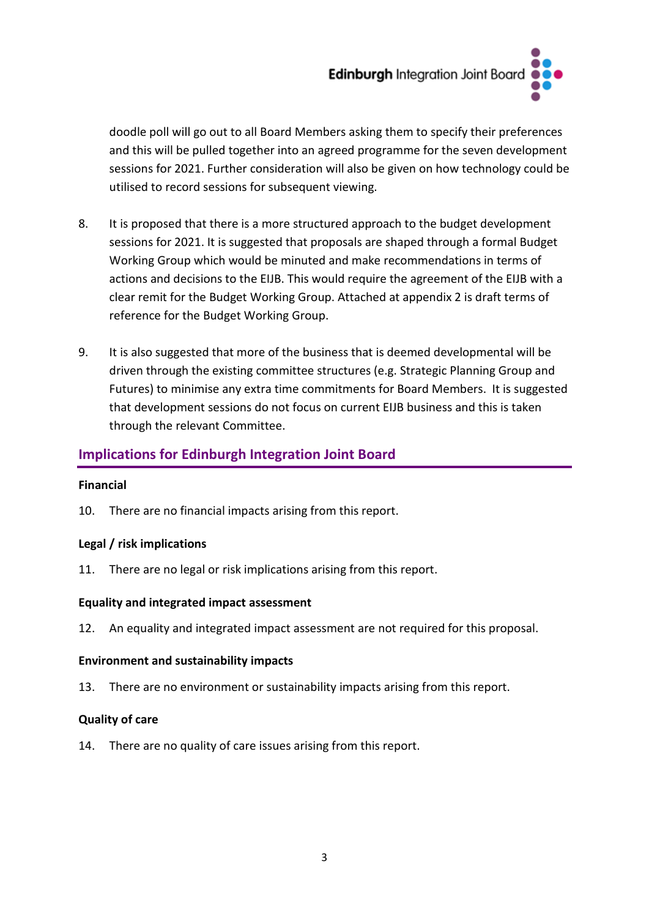

doodle poll will go out to all Board Members asking them to specify their preferences and this will be pulled together into an agreed programme for the seven development sessions for 2021. Further consideration will also be given on how technology could be utilised to record sessions for subsequent viewing.

- 8. It is proposed that there is a more structured approach to the budget development sessions for 2021. It is suggested that proposals are shaped through a formal Budget Working Group which would be minuted and make recommendations in terms of actions and decisions to the EIJB. This would require the agreement of the EIJB with a clear remit for the Budget Working Group. Attached at appendix 2 is draft terms of reference for the Budget Working Group.
- 9. It is also suggested that more of the business that is deemed developmental will be driven through the existing committee structures (e.g. Strategic Planning Group and Futures) to minimise any extra time commitments for Board Members. It is suggested that development sessions do not focus on current EIJB business and this is taken through the relevant Committee.

## **Implications for Edinburgh Integration Joint Board**

#### **Financial**

10. There are no financial impacts arising from this report.

#### **Legal / risk implications**

11. There are no legal or risk implications arising from this report.

#### **Equality and integrated impact assessment**

12. An equality and integrated impact assessment are not required for this proposal.

#### **Environment and sustainability impacts**

13. There are no environment or sustainability impacts arising from this report.

#### **Quality of care**

14. There are no quality of care issues arising from this report.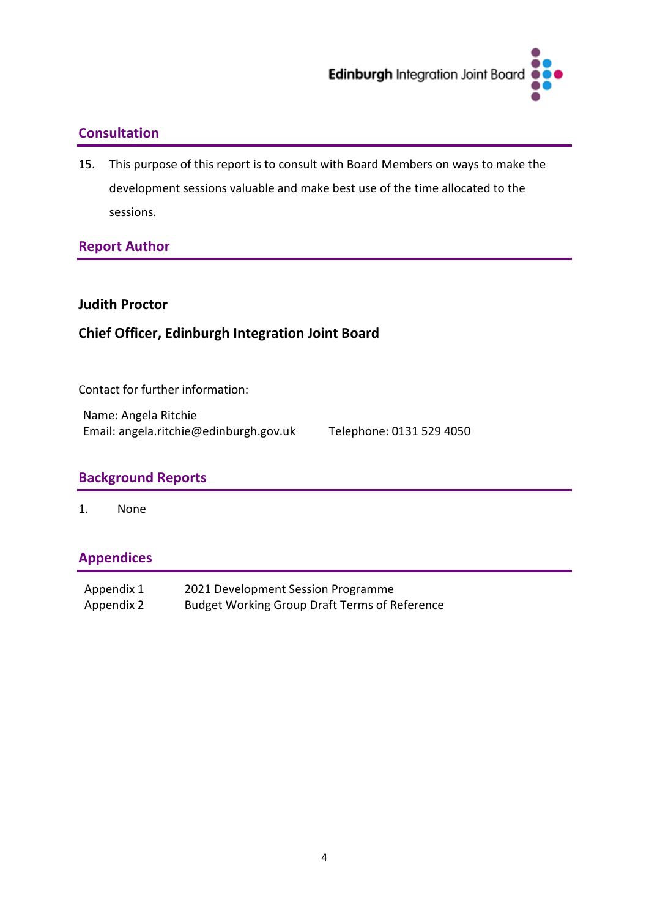

## **Consultation**

15. This purpose of this report is to consult with Board Members on ways to make the development sessions valuable and make best use of the time allocated to the sessions.

## **Report Author**

#### **Judith Proctor**

## **Chief Officer, Edinburgh Integration Joint Board**

Contact for further information:

Name: Angela Ritchie Email: angela.ritchie@edinburgh.gov.uk Telephone: 0131 529 4050

## **Background Reports**

1. None

## **Appendices**

| Appendix 1 | 2021 Development Session Programme                   |
|------------|------------------------------------------------------|
| Appendix 2 | <b>Budget Working Group Draft Terms of Reference</b> |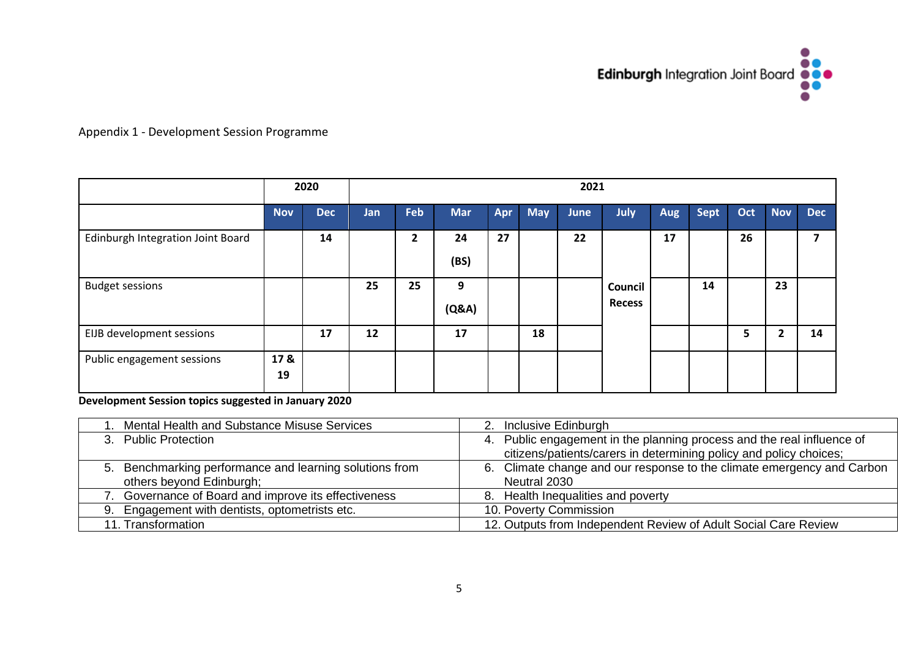

### Appendix 1 - Development Session Programme

|                                   | 2020       |            | 2021 |              |            |     |            |             |                          |     |      |     |            |                         |
|-----------------------------------|------------|------------|------|--------------|------------|-----|------------|-------------|--------------------------|-----|------|-----|------------|-------------------------|
|                                   | <b>Nov</b> | <b>Dec</b> | Jan  | Feb          | <b>Mar</b> | Apr | <b>May</b> | <b>June</b> | July                     | Aug | Sept | Oct | <b>Nov</b> | <b>Dec</b>              |
| Edinburgh Integration Joint Board |            | 14         |      | $\mathbf{2}$ | 24<br>(BS) | 27  |            | 22          |                          | 17  |      | 26  |            | $\overline{\mathbf{z}}$ |
| <b>Budget sessions</b>            |            |            | 25   | 25           | 9<br>(Q&A) |     |            |             | Council<br><b>Recess</b> |     | 14   |     | 23         |                         |
| EIJB development sessions         |            | 17         | 12   |              | 17         |     | 18         |             |                          |     |      | 5   | 2          | 14                      |
| Public engagement sessions        | 17 &<br>19 |            |      |              |            |     |            |             |                          |     |      |     |            |                         |

**Development Session topics suggested in January 2020**

| I. Mental Health and Substance Misuse Services          | 2. Inclusive Edinburgh                                                 |
|---------------------------------------------------------|------------------------------------------------------------------------|
| 3. Public Protection                                    | 4. Public engagement in the planning process and the real influence of |
|                                                         | citizens/patients/carers in determining policy and policy choices;     |
| 5. Benchmarking performance and learning solutions from | 6. Climate change and our response to the climate emergency and Carbon |
| others beyond Edinburgh;                                | Neutral 2030                                                           |
| 7. Governance of Board and improve its effectiveness    | 8. Health Inequalities and poverty                                     |
| 9. Engagement with dentists, optometrists etc.          | 10. Poverty Commission                                                 |
| 11. Transformation                                      | 12. Outputs from Independent Review of Adult Social Care Review        |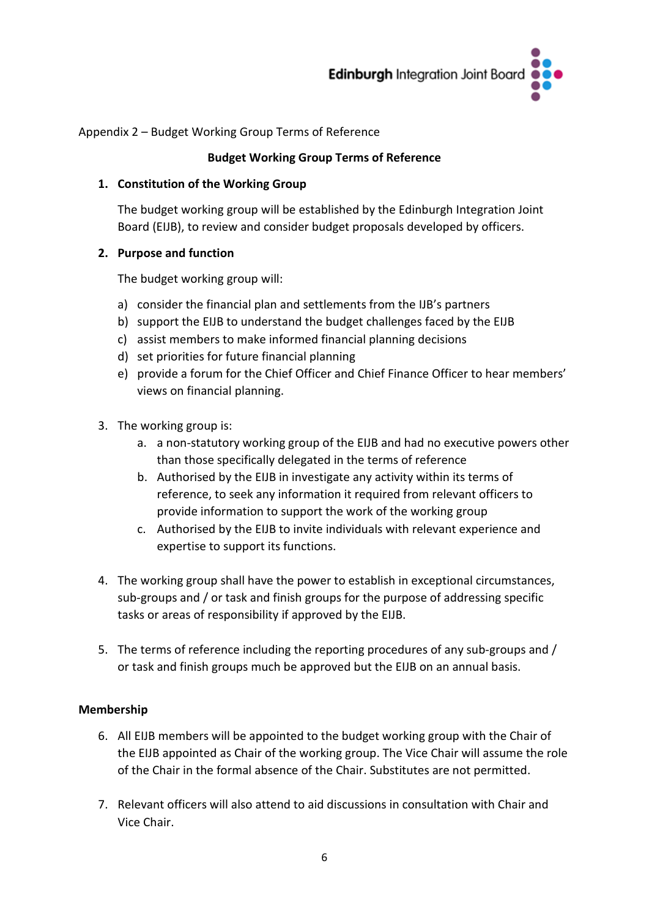

Appendix 2 – Budget Working Group Terms of Reference

#### **Budget Working Group Terms of Reference**

#### **1. Constitution of the Working Group**

The budget working group will be established by the Edinburgh Integration Joint Board (EIJB), to review and consider budget proposals developed by officers.

#### **2. Purpose and function**

The budget working group will:

- a) consider the financial plan and settlements from the IJB's partners
- b) support the EIJB to understand the budget challenges faced by the EIJB
- c) assist members to make informed financial planning decisions
- d) set priorities for future financial planning
- e) provide a forum for the Chief Officer and Chief Finance Officer to hear members' views on financial planning.
- 3. The working group is:
	- a. a non-statutory working group of the EIJB and had no executive powers other than those specifically delegated in the terms of reference
	- b. Authorised by the EIJB in investigate any activity within its terms of reference, to seek any information it required from relevant officers to provide information to support the work of the working group
	- c. Authorised by the EIJB to invite individuals with relevant experience and expertise to support its functions.
- 4. The working group shall have the power to establish in exceptional circumstances, sub-groups and / or task and finish groups for the purpose of addressing specific tasks or areas of responsibility if approved by the EIJB.
- 5. The terms of reference including the reporting procedures of any sub-groups and / or task and finish groups much be approved but the EIJB on an annual basis.

#### **Membership**

- 6. All EIJB members will be appointed to the budget working group with the Chair of the EIJB appointed as Chair of the working group. The Vice Chair will assume the role of the Chair in the formal absence of the Chair. Substitutes are not permitted.
- 7. Relevant officers will also attend to aid discussions in consultation with Chair and Vice Chair.